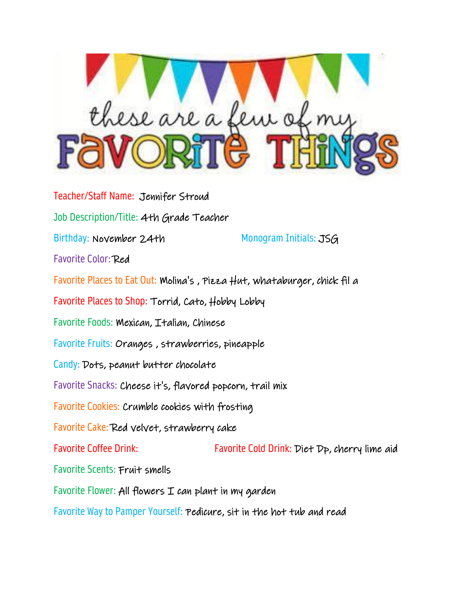

Teacher/Staff Name: Jennifer Stroud Job Description/Title: 4th Grade Teacher Birthday: November 24th Monogram Initials: JSG Favorite Color: Red Favorite Places to Eat Out: Molina's , Pizza Hut, whataburger, chick fil a Favorite Places to Shop: Torrid, Cato, Hobby Lobby Favorite Foods: Mexican, Italian, Chinese Favorite Fruits: Oranges , strawberries, pineapple Candy: Dots, peanut butter chocolate Favorite Snacks: Cheese it's, flavored popcorn, trail mix Favorite Cookies: Crumble cookies with frosting Favorite Cake: Red velvet, strawberry cake Favorite Coffee Drink: Favorite Cold Drink: Diet Dp, cherry lime aid Favorite Scents: Fruit smells Favorite Flower: All flowers  $I$  can plant in my garden

Favorite Way to Pamper Yourself: Pedicure, sit in the hot tub and read